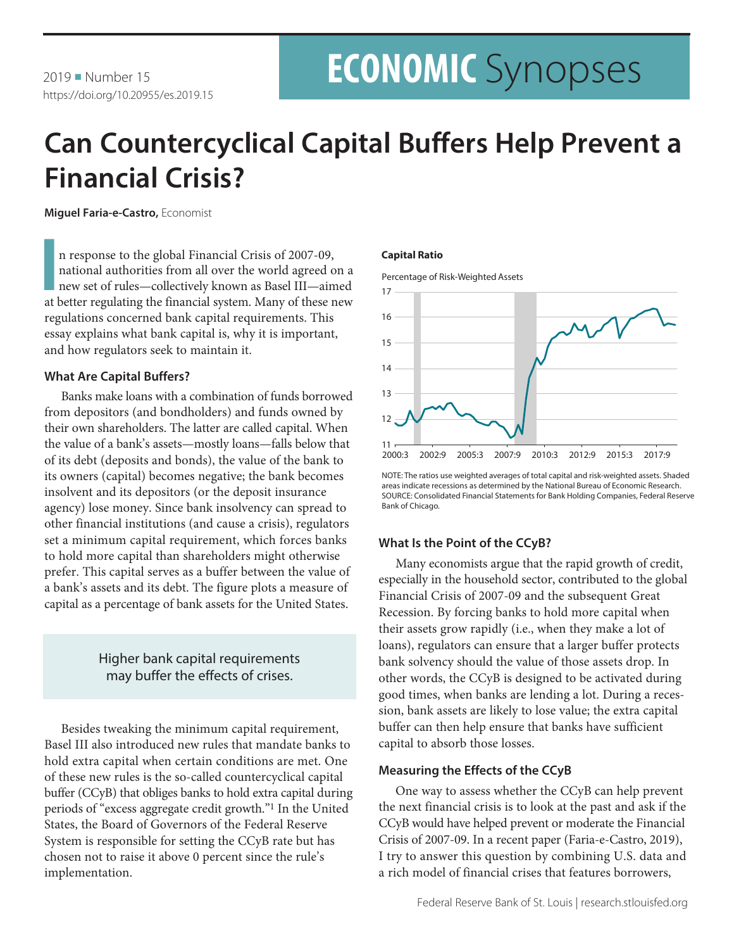# **ECONOMIC** Synopses

## **Can Countercyclical Capital Buffers Help Prevent a Financial Crisis?**

**Miguel Faria-e-Castro,** Economist

n response to the global Financial Crisis of 2007-09, national authorities from all over the world agreed on a new set of rules—collectively known as Basel III—aimed at better regulating the financial system. Many of these n response to the global Financial Crisis of 2007-09, national authorities from all over the world agreed on a new set of rules—collectively known as Basel III—aimed regulations concerned bank capital requirements. This essay explains what bank capital is, why it is important, and how regulators seek to maintain it.

#### **What Are Capital Buffers?**

Banks make loans with a combination of funds borrowed from depositors (and bondholders) and funds owned by their own shareholders. The latter are called capital. When the value of a bank's assets—mostly loans—falls below that of its debt (deposits and bonds), the value of the bank to its owners (capital) becomes negative; the bank becomes insolvent and its depositors (or the deposit insurance agency) lose money. Since bank insolvency can spread to other financial institutions (and cause a crisis), regulators set a minimum capital requirement, which forces banks to hold more capital than shareholders might otherwise prefer. This capital serves as a buffer between the value of a bank's assets and its debt. The figure plots a measure of capital as a percentage of bank assets for the United States.

### Higher bank capital requirements may buffer the effects of crises.

Besides tweaking the minimum capital requirement, Basel III also introduced new rules that mandate banks to hold extra capital when certain conditions are met. One of these new rules is the so-called countercyclical capital buffer (CCyB) that obliges banks to hold extra capital during periods of "excess aggregate credit growth."1 In the United States, the Board of Governors of the Federal Reserve System is responsible for setting the CCyB rate but has chosen not to raise it above 0 percent since the rule's implementation.

#### **Capital Ratio**





NOTE: The ratios use weighted averages of total capital and risk-weighted assets. Shaded areas indicate recessions as determined by the National Bureau of Economic Research. SOURCE: Consolidated Financial Statements for Bank Holding Companies, Federal Reserve Bank of Chicago.

#### **What Is the Point of the CCyB?**

Many economists argue that the rapid growth of credit, especially in the household sector, contributed to the global Financial Crisis of 2007-09 and the subsequent Great Recession. By forcing banks to hold more capital when their assets grow rapidly (i.e., when they make a lot of loans), regulators can ensure that a larger buffer protects bank solvency should the value of those assets drop. In other words, the CCyB is designed to be activated during good times, when banks are lending a lot. During a recession, bank assets are likely to lose value; the extra capital buffer can then help ensure that banks have sufficient capital to absorb those losses.

#### **Measuring the Effects of the CCyB**

One way to assess whether the CCyB can help prevent the next financial crisis is to look at the past and ask if the CCyB would have helped prevent or moderate the Financial Crisis of 2007-09. In a recent paper (Faria-e-Castro, 2019), I try to answer this question by combining U.S. data and a rich model of financial crises that features borrowers,